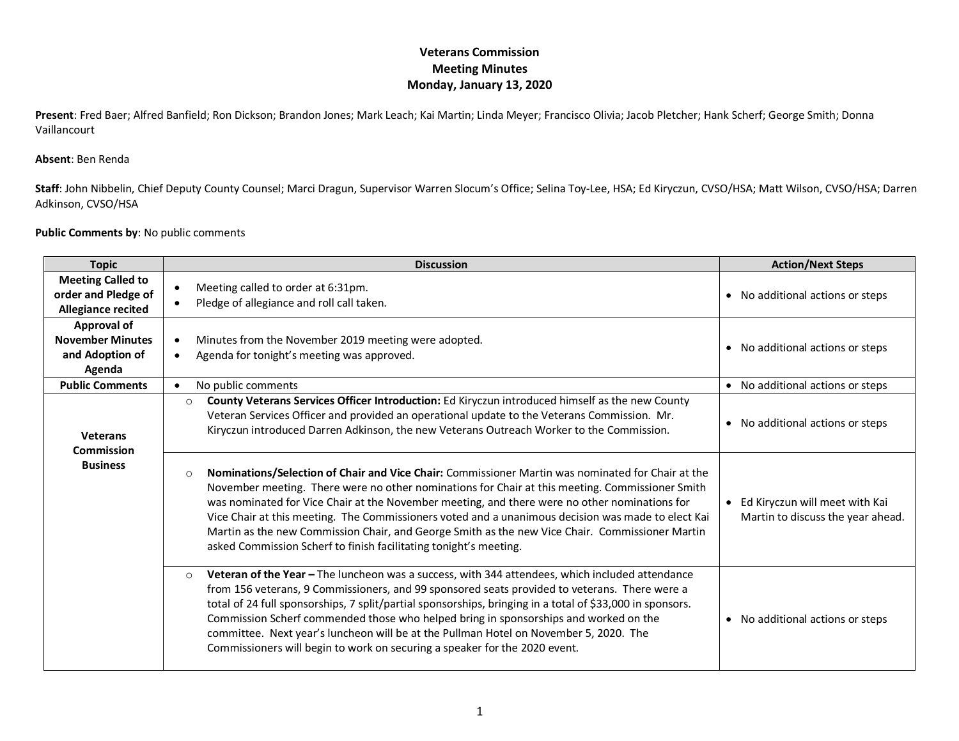## **Veterans Commission Meeting Minutes Monday, January 13, 2020**

**Present**: Fred Baer; Alfred Banfield; Ron Dickson; Brandon Jones; Mark Leach; Kai Martin; Linda Meyer; Francisco Olivia; Jacob Pletcher; Hank Scherf; George Smith; Donna Vaillancourt

## **Absent**: Ben Renda

**Staff**: John Nibbelin, Chief Deputy County Counsel; Marci Dragun, Supervisor Warren Slocum's Office; Selina Toy-Lee, HSA; Ed Kiryczun, CVSO/HSA; Matt Wilson, CVSO/HSA; Darren Adkinson, CVSO/HSA

## **Public Comments by**: No public comments

| <b>Topic</b>                                                                 | <b>Discussion</b>                                                                                                                                                                                                                                                                                                                                                                                                                                                                                                                                                                               | <b>Action/Next Steps</b>                                              |
|------------------------------------------------------------------------------|-------------------------------------------------------------------------------------------------------------------------------------------------------------------------------------------------------------------------------------------------------------------------------------------------------------------------------------------------------------------------------------------------------------------------------------------------------------------------------------------------------------------------------------------------------------------------------------------------|-----------------------------------------------------------------------|
| <b>Meeting Called to</b><br>order and Pledge of<br><b>Allegiance recited</b> | Meeting called to order at 6:31pm.<br>Pledge of allegiance and roll call taken.                                                                                                                                                                                                                                                                                                                                                                                                                                                                                                                 | • No additional actions or steps                                      |
| Approval of<br><b>November Minutes</b><br>and Adoption of<br>Agenda          | Minutes from the November 2019 meeting were adopted.<br>O<br>Agenda for tonight's meeting was approved.<br>$\bullet$                                                                                                                                                                                                                                                                                                                                                                                                                                                                            | • No additional actions or steps                                      |
| <b>Public Comments</b>                                                       | No public comments<br>$\bullet$                                                                                                                                                                                                                                                                                                                                                                                                                                                                                                                                                                 | • No additional actions or steps                                      |
| <b>Veterans</b><br><b>Commission</b><br><b>Business</b>                      | County Veterans Services Officer Introduction: Ed Kiryczun introduced himself as the new County<br>$\circ$<br>Veteran Services Officer and provided an operational update to the Veterans Commission. Mr.<br>Kiryczun introduced Darren Adkinson, the new Veterans Outreach Worker to the Commission.                                                                                                                                                                                                                                                                                           | • No additional actions or steps                                      |
|                                                                              | Nominations/Selection of Chair and Vice Chair: Commissioner Martin was nominated for Chair at the<br>$\Omega$<br>November meeting. There were no other nominations for Chair at this meeting. Commissioner Smith<br>was nominated for Vice Chair at the November meeting, and there were no other nominations for<br>Vice Chair at this meeting. The Commissioners voted and a unanimous decision was made to elect Kai<br>Martin as the new Commission Chair, and George Smith as the new Vice Chair. Commissioner Martin<br>asked Commission Scherf to finish facilitating tonight's meeting. | • Ed Kiryczun will meet with Kai<br>Martin to discuss the year ahead. |
|                                                                              | Veteran of the Year - The luncheon was a success, with 344 attendees, which included attendance<br>$\circ$<br>from 156 veterans, 9 Commissioners, and 99 sponsored seats provided to veterans. There were a<br>total of 24 full sponsorships, 7 split/partial sponsorships, bringing in a total of \$33,000 in sponsors.<br>Commission Scherf commended those who helped bring in sponsorships and worked on the<br>committee. Next year's luncheon will be at the Pullman Hotel on November 5, 2020. The<br>Commissioners will begin to work on securing a speaker for the 2020 event.         | • No additional actions or steps                                      |